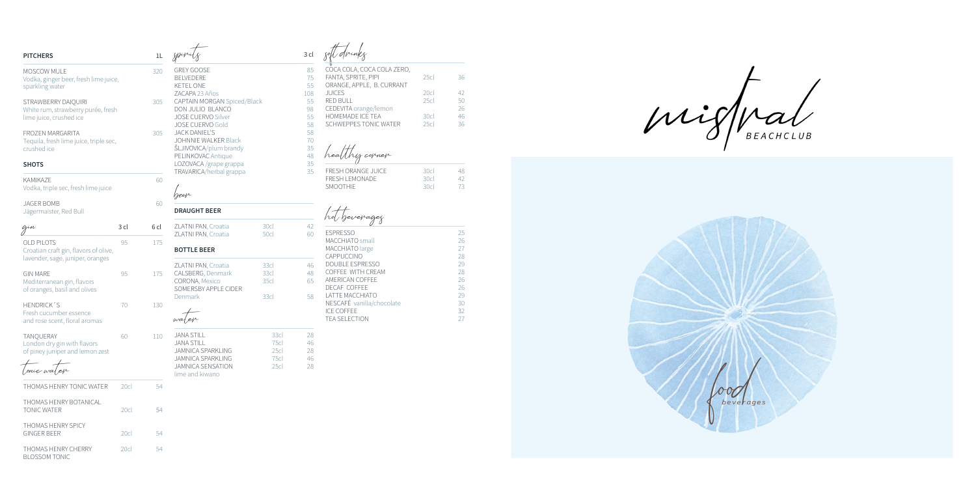| <b>PITCHERS</b>                                                                                |      | 1L   |                                                                                                            |                              | 3 cl                  |                                                                                                   |                      |                            |
|------------------------------------------------------------------------------------------------|------|------|------------------------------------------------------------------------------------------------------------|------------------------------|-----------------------|---------------------------------------------------------------------------------------------------|----------------------|----------------------------|
| MOSCOW MULE<br>Vodka, ginger beer, fresh lime juice,<br>sparkling water                        |      | 320  | <b>GREY GOOSE</b><br><b>BELVEDERE</b><br><b>KETEL ONE</b><br>ZACAPA 23 Años                                |                              | 85<br>75<br>55<br>108 | COCA COLA, COCA COLA ZERO,<br>FANTA, SPRITE, PIPI<br>ORANGE, APPLE, B. CURRANT<br><b>JUICES</b>   | 25c<br>20cl          | 36<br>42                   |
| STRAWBERRY DAIQUIRI<br>White rum, strawberry purée, fresh<br>lime juice, crushed ice           |      | 305  | CAPTAIN MORGAN Spiced/Black<br>DON JULIO BLANCO<br><b>JOSE CUERVO Silver</b><br><b>JOSE CUERVO Gold</b>    |                              | 55<br>98<br>55<br>58  | <b>RED BULL</b><br>CEDEVITA orange/lemon<br>HOMEMADE ICE TEA<br><b>SCHWEPPES TONIC WATER</b>      | 25c<br>30cl<br>25cl  | 50<br>26<br>46<br>36       |
| <b>FROZEN MARGARITA</b><br>Tequila, fresh lime juice, triple sec,<br>crushed ice               |      | 305  | <b>JACK DANIEL'S</b><br><b>JOHNNIE WALKER Black</b><br><b>SLJIVOVICA/plum brandy</b><br>PELINKOVAC Antique |                              | 58<br>70<br>35<br>48  | healthy corner                                                                                    |                      |                            |
| <b>SHOTS</b><br>KAMIKA7F                                                                       |      | 60   | LOZOVACA / grape grappa<br>TRAVARICA/herbal grappa                                                         |                              | 35<br>35              | FRESH ORANGE JUICE<br><b>FRESH LEMONADE</b><br><b>SMOOTHIE</b>                                    | 30cl<br>30cl<br>30cl | 48<br>42<br>73             |
| Vodka, triple sec, fresh lime juice                                                            |      |      | beep                                                                                                       |                              |                       |                                                                                                   |                      |                            |
| <b>JAGER BOMB</b><br>Jägermaister, Red Bull                                                    |      | 60   | <b>DRAUGHT BEER</b>                                                                                        |                              |                       | hot beverages                                                                                     |                      |                            |
| gin                                                                                            | 3 cl | 6 cl | ZLATNI PAN, Croatia<br>ZLATNI PAN, Croatia                                                                 | 30cl<br>50cl                 | 42<br>60              | <b>ESPRESSO</b>                                                                                   |                      | 25                         |
| <b>OLD PILOTS</b><br>Croatian craft gin, flavors of olive,<br>lavender, sage, juniper, oranges | 95   | 175  | <b>BOTTLE BEER</b>                                                                                         |                              |                       | MACCHIATO small<br>MACCHIATO large<br>CAPPUCCINO                                                  |                      | 26<br>27<br>28             |
| <b>GIN MARE</b><br>Mediterranean gin, flavors<br>of oranges, basil and olives                  | 95   | 175  | ZLATNI PAN, Croatia<br>CALSBERG, Denmark<br>CORONA, Mexico<br>SOMERSBY APPLE CIDER<br>Denmark              | 33cl<br>33cl<br>35cl<br>33cl | 46<br>48<br>65<br>58  | <b>DOUBLE ESPRESSO</b><br>COFFEE WITH CREAM<br>AMERICAN COFFEE<br>DECAF COFFEE<br>LATTE MACCHIATO |                      | 29<br>28<br>26<br>26<br>29 |
| HENDRICK'S<br>Fresh cucumber essence<br>and rose scent, floral aromas                          | 70   | 130  | water                                                                                                      |                              |                       | NESCAFÉ vanilla/chocolate<br><b>ICE COFFEE</b><br><b>TEA SELECTION</b>                            |                      | 30<br>32<br>27             |
| <b>TANQUERAY</b><br>London dry gin with flavors<br>of piney juniper and lemon zest             | 60   | 110  | <b>JANA STILL</b><br><b>JANA STILL</b><br>JAMNICA SPARKLING                                                | 33cl<br>75cl<br>25cl         | 28<br>46<br>28        |                                                                                                   |                      |                            |
| onic water                                                                                     |      |      | <b>JAMNICA SPARKLING</b><br>JAMNICA SENSATION<br>lime and kiwano                                           | 75cl<br>25 <sub>cl</sub>     | 46<br>28              |                                                                                                   |                      |                            |
| THOMAS HENRY TONIC WATER                                                                       | 20cl | 54   |                                                                                                            |                              |                       |                                                                                                   |                      |                            |
| THOMAS HENRY BOTANICAL<br><b>TONIC WATER</b>                                                   | 20cl | 54   |                                                                                                            |                              |                       |                                                                                                   |                      |                            |
| THOMAS HENRY SPICY<br><b>GINGER BEER</b>                                                       | 20cl | 54   |                                                                                                            |                              |                       |                                                                                                   |                      |                            |
| THOMAS HENRY CHERRY<br><b>BLOSSOM TONIC</b>                                                    | 20cl | 54   |                                                                                                            |                              |                       |                                                                                                   |                      |                            |

| HOMEMADE ICE TEA<br><b>SCHWEPPES TONIC WATER</b> | 30cl<br>25c | 46<br>36 |  |
|--------------------------------------------------|-------------|----------|--|
| healthy corner                                   |             |          |  |
| <b>FRESH ORANGE JUICE</b>                        | 30cl        | 48       |  |
| <b>FRESH LEMONADE</b>                            | 30cl        | 42       |  |
| <b>SMOOTHIE</b>                                  | 30c         | 73       |  |
|                                                  |             |          |  |
|                                                  |             |          |  |

rgeg

| U                         |    |
|---------------------------|----|
| <b>FSPRESSO</b>           | 25 |
| MACCHIATO small           | 26 |
| MACCHIATO large           | 27 |
| CAPPUCCINO                | 28 |
| DOUBLE ESPRESSO           | 29 |
| COFFEE WITH CREAM         | 28 |
| AMERICAN COFFEE           | 26 |
| DECAE COFFEE              | 26 |
| <b>LATTE MACCHIATO</b>    | 29 |
| NESCAFÉ vanilla/chocolate | 30 |
| <b>ICE COFFEE</b>         | 32 |
| <b>TEA SELECTION</b>      |    |
|                           |    |

 $mif$  al